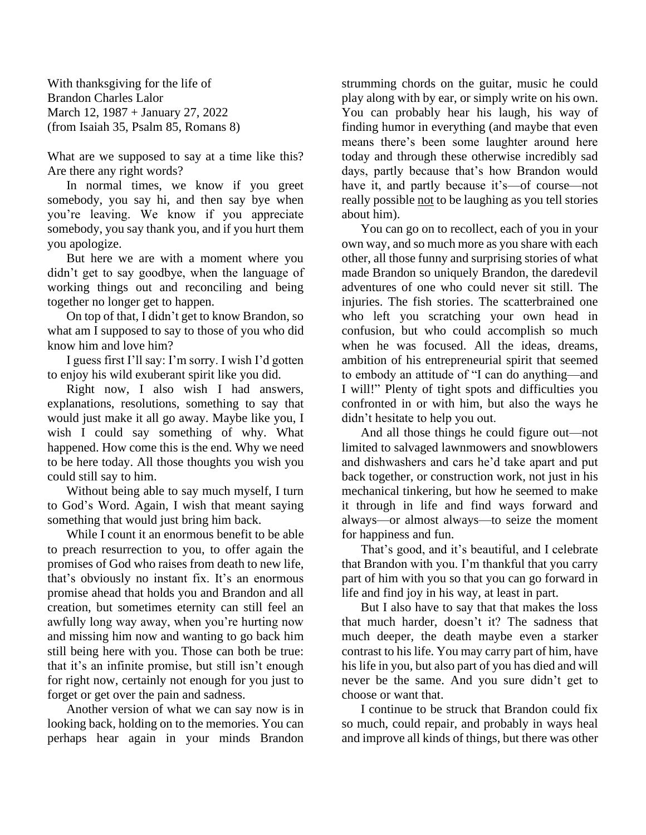With thanksgiving for the life of Brandon Charles Lalor March 12, 1987 + January 27, 2022 (from Isaiah 35, Psalm 85, Romans 8)

What are we supposed to say at a time like this? Are there any right words?

In normal times, we know if you greet somebody, you say hi, and then say bye when you're leaving. We know if you appreciate somebody, you say thank you, and if you hurt them you apologize.

But here we are with a moment where you didn't get to say goodbye, when the language of working things out and reconciling and being together no longer get to happen.

On top of that, I didn't get to know Brandon, so what am I supposed to say to those of you who did know him and love him?

I guess first I'll say: I'm sorry. I wish I'd gotten to enjoy his wild exuberant spirit like you did.

Right now, I also wish I had answers, explanations, resolutions, something to say that would just make it all go away. Maybe like you, I wish I could say something of why. What happened. How come this is the end. Why we need to be here today. All those thoughts you wish you could still say to him.

Without being able to say much myself, I turn to God's Word. Again, I wish that meant saying something that would just bring him back.

While I count it an enormous benefit to be able to preach resurrection to you, to offer again the promises of God who raises from death to new life, that's obviously no instant fix. It's an enormous promise ahead that holds you and Brandon and all creation, but sometimes eternity can still feel an awfully long way away, when you're hurting now and missing him now and wanting to go back him still being here with you. Those can both be true: that it's an infinite promise, but still isn't enough for right now, certainly not enough for you just to forget or get over the pain and sadness.

Another version of what we can say now is in looking back, holding on to the memories. You can perhaps hear again in your minds Brandon

strumming chords on the guitar, music he could play along with by ear, or simply write on his own. You can probably hear his laugh, his way of finding humor in everything (and maybe that even means there's been some laughter around here today and through these otherwise incredibly sad days, partly because that's how Brandon would have it, and partly because it's—of course—not really possible not to be laughing as you tell stories about him).

You can go on to recollect, each of you in your own way, and so much more as you share with each other, all those funny and surprising stories of what made Brandon so uniquely Brandon, the daredevil adventures of one who could never sit still. The injuries. The fish stories. The scatterbrained one who left you scratching your own head in confusion, but who could accomplish so much when he was focused. All the ideas, dreams, ambition of his entrepreneurial spirit that seemed to embody an attitude of "I can do anything—and I will!" Plenty of tight spots and difficulties you confronted in or with him, but also the ways he didn't hesitate to help you out.

And all those things he could figure out—not limited to salvaged lawnmowers and snowblowers and dishwashers and cars he'd take apart and put back together, or construction work, not just in his mechanical tinkering, but how he seemed to make it through in life and find ways forward and always—or almost always—to seize the moment for happiness and fun.

That's good, and it's beautiful, and I celebrate that Brandon with you. I'm thankful that you carry part of him with you so that you can go forward in life and find joy in his way, at least in part.

But I also have to say that that makes the loss that much harder, doesn't it? The sadness that much deeper, the death maybe even a starker contrast to his life. You may carry part of him, have his life in you, but also part of you has died and will never be the same. And you sure didn't get to choose or want that.

I continue to be struck that Brandon could fix so much, could repair, and probably in ways heal and improve all kinds of things, but there was other